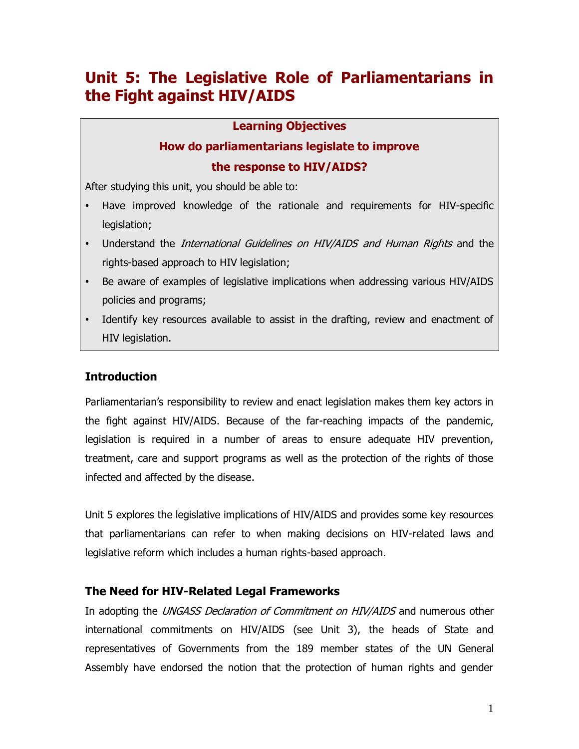# **Unit 5: The Legislative Role of Parliamentarians in the Fight against HIV/AIDS**

#### **Learning Objectives**

# **How do parliamentarians legislate to improve the response to HIV/AIDS?**

After studying this unit, you should be able to:

- Have improved knowledge of the rationale and requirements for HIV-specific legislation;
- Understand the *International Guidelines on HIV/AIDS and Human Rights* and the rights-based approach to HIV legislation;
- Be aware of examples of legislative implications when addressing various HIV/AIDS policies and programs;
- Identify key resources available to assist in the drafting, review and enactment of HIV legislation.

# **Introduction**

Parliamentarian"s responsibility to review and enact legislation makes them key actors in the fight against HIV/AIDS. Because of the far-reaching impacts of the pandemic, legislation is required in a number of areas to ensure adequate HIV prevention, treatment, care and support programs as well as the protection of the rights of those infected and affected by the disease.

Unit 5 explores the legislative implications of HIV/AIDS and provides some key resources that parliamentarians can refer to when making decisions on HIV-related laws and legislative reform which includes a human rights-based approach.

# **The Need for HIV-Related Legal Frameworks**

In adopting the *UNGASS Declaration of Commitment on HIV/AIDS* and numerous other international commitments on HIV/AIDS (see Unit 3), the heads of State and representatives of Governments from the 189 member states of the UN General Assembly have endorsed the notion that the protection of human rights and gender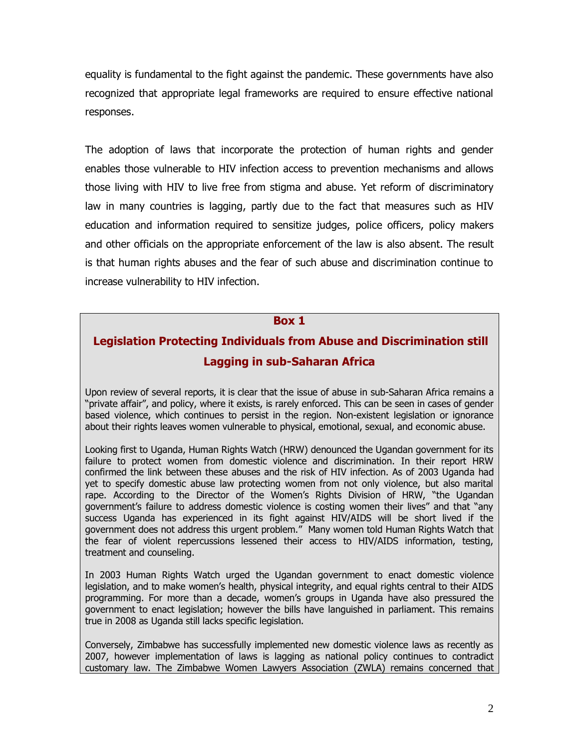equality is fundamental to the fight against the pandemic. These governments have also recognized that appropriate legal frameworks are required to ensure effective national responses.

The adoption of laws that incorporate the protection of human rights and gender enables those vulnerable to HIV infection access to prevention mechanisms and allows those living with HIV to live free from stigma and abuse. Yet reform of discriminatory law in many countries is lagging, partly due to the fact that measures such as HIV education and information required to sensitize judges, police officers, policy makers and other officials on the appropriate enforcement of the law is also absent. The result is that human rights abuses and the fear of such abuse and discrimination continue to increase vulnerability to HIV infection.

#### **Box 1**

# **Legislation Protecting Individuals from Abuse and Discrimination still Lagging in sub-Saharan Africa**

Upon review of several reports, it is clear that the issue of abuse in sub-Saharan Africa remains a "private affair", and policy, where it exists, is rarely enforced. This can be seen in cases of gender based violence, which continues to persist in the region. Non-existent legislation or ignorance about their rights leaves women vulnerable to physical, emotional, sexual, and economic abuse.

Looking first to Uganda, Human Rights Watch (HRW) denounced the Ugandan government for its failure to protect women from domestic violence and discrimination. In their report HRW confirmed the link between these abuses and the risk of HIV infection. As of 2003 Uganda had yet to specify domestic abuse law protecting women from not only violence, but also marital rape. According to the Director of the Women"s Rights Division of HRW, "the Ugandan government"s failure to address domestic violence is costing women their lives" and that "any success Uganda has experienced in its fight against HIV/AIDS will be short lived if the government does not address this urgent problem." Many women told Human Rights Watch that the fear of violent repercussions lessened their access to HIV/AIDS information, testing, treatment and counseling.

In 2003 Human Rights Watch urged the Ugandan government to enact domestic violence legislation, and to make women"s health, physical integrity, and equal rights central to their AIDS programming. For more than a decade, women's groups in Uganda have also pressured the government to enact legislation; however the bills have languished in parliament. This remains true in 2008 as Uganda still lacks specific legislation.

Conversely, Zimbabwe has successfully implemented new domestic violence laws as recently as 2007, however implementation of laws is lagging as national policy continues to contradict customary law. The Zimbabwe Women Lawyers Association (ZWLA) remains concerned that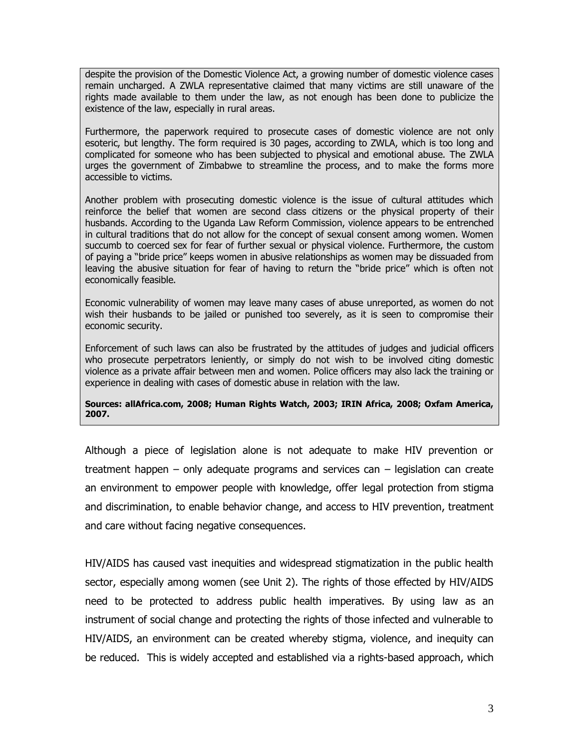despite the provision of the Domestic Violence Act, a growing number of domestic violence cases remain uncharged. A ZWLA representative claimed that many victims are still unaware of the rights made available to them under the law, as not enough has been done to publicize the existence of the law, especially in rural areas.

Furthermore, the paperwork required to prosecute cases of domestic violence are not only esoteric, but lengthy. The form required is 30 pages, according to ZWLA, which is too long and complicated for someone who has been subjected to physical and emotional abuse. The ZWLA urges the government of Zimbabwe to streamline the process, and to make the forms more accessible to victims.

Another problem with prosecuting domestic violence is the issue of cultural attitudes which reinforce the belief that women are second class citizens or the physical property of their husbands. According to the Uganda Law Reform Commission, violence appears to be entrenched in cultural traditions that do not allow for the concept of sexual consent among women. Women succumb to coerced sex for fear of further sexual or physical violence. Furthermore, the custom of paying a "bride price" keeps women in abusive relationships as women may be dissuaded from leaving the abusive situation for fear of having to return the "bride price" which is often not economically feasible.

Economic vulnerability of women may leave many cases of abuse unreported, as women do not wish their husbands to be jailed or punished too severely, as it is seen to compromise their economic security.

Enforcement of such laws can also be frustrated by the attitudes of judges and judicial officers who prosecute perpetrators leniently, or simply do not wish to be involved citing domestic violence as a private affair between men and women. Police officers may also lack the training or experience in dealing with cases of domestic abuse in relation with the law.

**Sources: allAfrica.com, 2008; Human Rights Watch, 2003; IRIN Africa, 2008; Oxfam America, 2007.**

Although a piece of legislation alone is not adequate to make HIV prevention or treatment happen – only adequate programs and services can – legislation can create an environment to empower people with knowledge, offer legal protection from stigma and discrimination, to enable behavior change, and access to HIV prevention, treatment and care without facing negative consequences.

HIV/AIDS has caused vast inequities and widespread stigmatization in the public health sector, especially among women (see Unit 2). The rights of those effected by HIV/AIDS need to be protected to address public health imperatives. By using law as an instrument of social change and protecting the rights of those infected and vulnerable to HIV/AIDS, an environment can be created whereby stigma, violence, and inequity can be reduced. This is widely accepted and established via a rights-based approach, which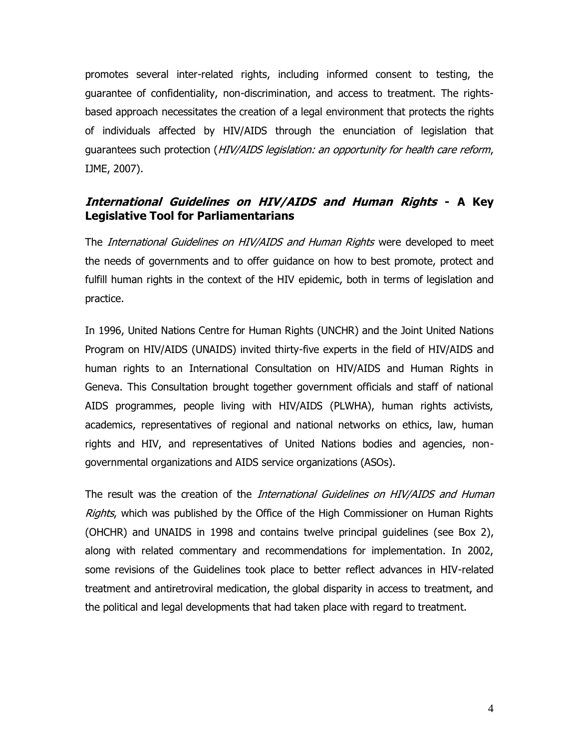promotes several inter-related rights, including informed consent to testing, the guarantee of confidentiality, non-discrimination, and access to treatment. The rightsbased approach necessitates the creation of a legal environment that protects the rights of individuals affected by HIV/AIDS through the enunciation of legislation that quarantees such protection (HIV/AIDS legislation: an opportunity for health care reform, IJME, 2007).

# **International Guidelines on HIV/AIDS and Human Rights - A Key Legislative Tool for Parliamentarians**

The *International Guidelines on HIV/AIDS and Human Rights* were developed to meet the needs of governments and to offer guidance on how to best promote, protect and fulfill human rights in the context of the HIV epidemic, both in terms of legislation and practice.

In 1996, United Nations Centre for Human Rights (UNCHR) and the Joint United Nations Program on HIV/AIDS (UNAIDS) invited thirty-five experts in the field of HIV/AIDS and human rights to an International Consultation on HIV/AIDS and Human Rights in Geneva. This Consultation brought together government officials and staff of national AIDS programmes, people living with HIV/AIDS (PLWHA), human rights activists, academics, representatives of regional and national networks on ethics, law, human rights and HIV, and representatives of United Nations bodies and agencies, nongovernmental organizations and AIDS service organizations (ASOs).

The result was the creation of the *International Guidelines on HIV/AIDS and Human* Rights, which was published by the Office of the High Commissioner on Human Rights (OHCHR) and UNAIDS in 1998 and contains twelve principal guidelines (see Box 2), along with related commentary and recommendations for implementation. In 2002, some revisions of the Guidelines took place to better reflect advances in HIV-related treatment and antiretroviral medication, the global disparity in access to treatment, and the political and legal developments that had taken place with regard to treatment.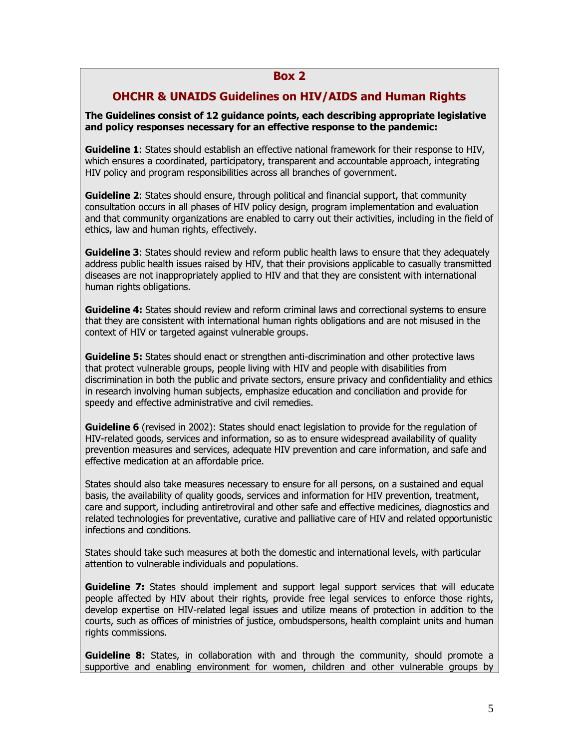#### **Box 2**

#### **OHCHR & UNAIDS Guidelines on HIV/AIDS and Human Rights**

**The Guidelines consist of 12 guidance points, each describing appropriate legislative and policy responses necessary for an effective response to the pandemic:** 

**Guideline 1**: States should establish an effective national framework for their response to HIV, which ensures a coordinated, participatory, transparent and accountable approach, integrating HIV policy and program responsibilities across all branches of government.

**Guideline 2**: States should ensure, through political and financial support, that community consultation occurs in all phases of HIV policy design, program implementation and evaluation and that community organizations are enabled to carry out their activities, including in the field of ethics, law and human rights, effectively.

**Guideline 3:** States should review and reform public health laws to ensure that they adequately address public health issues raised by HIV, that their provisions applicable to casually transmitted diseases are not inappropriately applied to HIV and that they are consistent with international human rights obligations.

**Guideline 4:** States should review and reform criminal laws and correctional systems to ensure that they are consistent with international human rights obligations and are not misused in the context of HIV or targeted against vulnerable groups.

**Guideline 5:** States should enact or strengthen anti-discrimination and other protective laws that protect vulnerable groups, people living with HIV and people with disabilities from discrimination in both the public and private sectors, ensure privacy and confidentiality and ethics in research involving human subjects, emphasize education and conciliation and provide for speedy and effective administrative and civil remedies.

**Guideline 6** (revised in 2002): States should enact legislation to provide for the regulation of HIV-related goods, services and information, so as to ensure widespread availability of quality prevention measures and services, adequate HIV prevention and care information, and safe and effective medication at an affordable price.

States should also take measures necessary to ensure for all persons, on a sustained and equal basis, the availability of quality goods, services and information for HIV prevention, treatment, care and support, including antiretroviral and other safe and effective medicines, diagnostics and related technologies for preventative, curative and palliative care of HIV and related opportunistic infections and conditions.

States should take such measures at both the domestic and international levels, with particular attention to vulnerable individuals and populations.

**Guideline 7:** States should implement and support legal support services that will educate people affected by HIV about their rights, provide free legal services to enforce those rights, develop expertise on HIV-related legal issues and utilize means of protection in addition to the courts, such as offices of ministries of justice, ombudspersons, health complaint units and human rights commissions.

**Guideline 8:** States, in collaboration with and through the community, should promote a supportive and enabling environment for women, children and other vulnerable groups by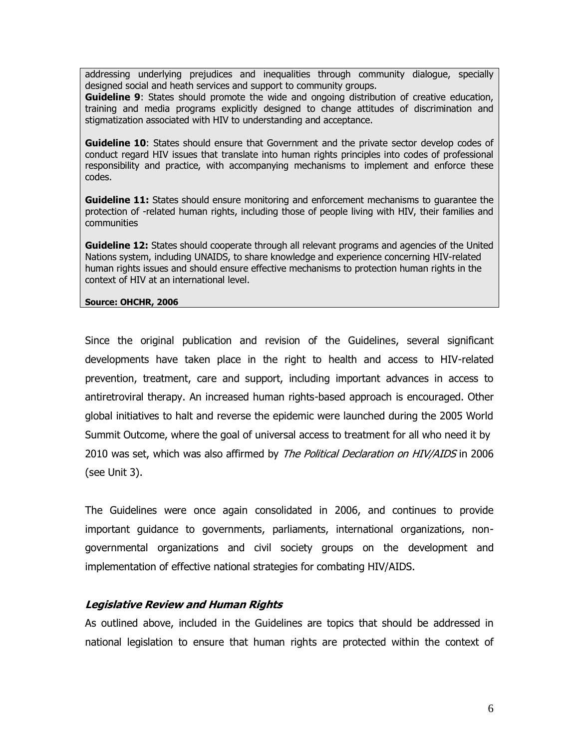addressing underlying prejudices and inequalities through community dialogue, specially designed social and heath services and support to community groups.

**Guideline 9:** States should promote the wide and ongoing distribution of creative education, training and media programs explicitly designed to change attitudes of discrimination and stigmatization associated with HIV to understanding and acceptance.

**Guideline 10**: States should ensure that Government and the private sector develop codes of conduct regard HIV issues that translate into human rights principles into codes of professional responsibility and practice, with accompanying mechanisms to implement and enforce these codes.

**Guideline 11:** States should ensure monitoring and enforcement mechanisms to quarantee the protection of -related human rights, including those of people living with HIV, their families and communities

**Guideline 12:** States should cooperate through all relevant programs and agencies of the United Nations system, including UNAIDS, to share knowledge and experience concerning HIV-related human rights issues and should ensure effective mechanisms to protection human rights in the context of HIV at an international level.

**Source: OHCHR, 2006**

Since the original publication and revision of the Guidelines, several significant developments have taken place in the right to health and access to HIV-related prevention, treatment, care and support, including important advances in access to antiretroviral therapy. An increased human rights-based approach is encouraged. Other global initiatives to halt and reverse the epidemic were launched during the 2005 World Summit Outcome, where the goal of universal access to treatment for all who need it by 2010 was set, which was also affirmed by *The Political Declaration on HIV/AIDS* in 2006 (see Unit 3).

The Guidelines were once again consolidated in 2006, and continues to provide important guidance to governments, parliaments, international organizations, nongovernmental organizations and civil society groups on the development and implementation of effective national strategies for combating HIV/AIDS.

#### **Legislative Review and Human Rights**

As outlined above, included in the Guidelines are topics that should be addressed in national legislation to ensure that human rights are protected within the context of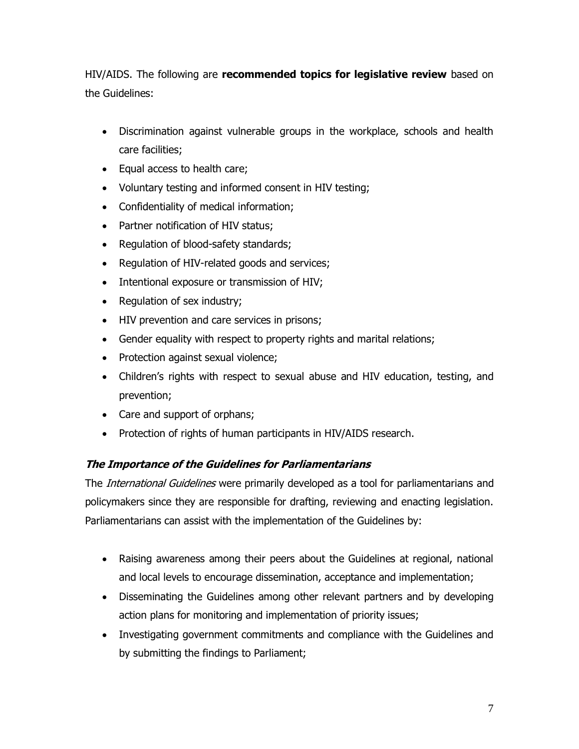HIV/AIDS. The following are **recommended topics for legislative review** based on the Guidelines:

- Discrimination against vulnerable groups in the workplace, schools and health care facilities;
- Equal access to health care;
- Voluntary testing and informed consent in HIV testing;
- Confidentiality of medical information;
- Partner notification of HIV status;
- Regulation of blood-safety standards;
- Regulation of HIV-related goods and services;
- Intentional exposure or transmission of HIV;
- Regulation of sex industry;
- HIV prevention and care services in prisons;
- Gender equality with respect to property rights and marital relations;
- Protection against sexual violence;
- Children"s rights with respect to sexual abuse and HIV education, testing, and prevention;
- Care and support of orphans;
- Protection of rights of human participants in HIV/AIDS research.

#### **The Importance of the Guidelines for Parliamentarians**

The *International Guidelines* were primarily developed as a tool for parliamentarians and policymakers since they are responsible for drafting, reviewing and enacting legislation. Parliamentarians can assist with the implementation of the Guidelines by:

- Raising awareness among their peers about the Guidelines at regional, national and local levels to encourage dissemination, acceptance and implementation;
- Disseminating the Guidelines among other relevant partners and by developing action plans for monitoring and implementation of priority issues;
- Investigating government commitments and compliance with the Guidelines and by submitting the findings to Parliament;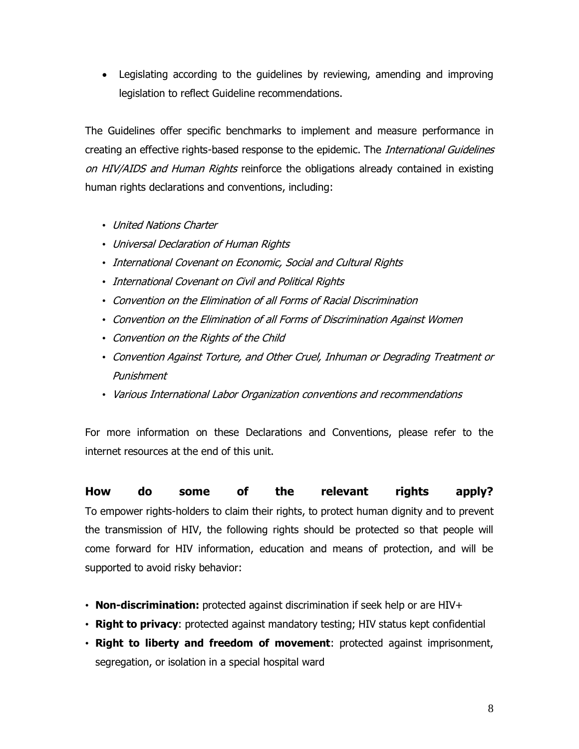Legislating according to the guidelines by reviewing, amending and improving legislation to reflect Guideline recommendations.

The Guidelines offer specific benchmarks to implement and measure performance in creating an effective rights-based response to the epidemic. The *International Guidelines* on HIV/AIDS and Human Rights reinforce the obligations already contained in existing human rights declarations and conventions, including:

- United Nations Charter
- Universal Declaration of Human Rights
- International Covenant on Economic, Social and Cultural Rights
- International Covenant on Civil and Political Rights
- Convention on the Elimination of all Forms of Racial Discrimination
- Convention on the Elimination of all Forms of Discrimination Against Women
- Convention on the Rights of the Child
- Convention Against Torture, and Other Cruel, Inhuman or Degrading Treatment or Punishment
- Various International Labor Organization conventions and recommendations

For more information on these Declarations and Conventions, please refer to the internet resources at the end of this unit.

**How do some of the relevant rights apply?**  To empower rights-holders to claim their rights, to protect human dignity and to prevent the transmission of HIV, the following rights should be protected so that people will come forward for HIV information, education and means of protection, and will be supported to avoid risky behavior:

- **Non-discrimination:** protected against discrimination if seek help or are HIV+
- **Right to privacy**: protected against mandatory testing; HIV status kept confidential
- **Right to liberty and freedom of movement**: protected against imprisonment, segregation, or isolation in a special hospital ward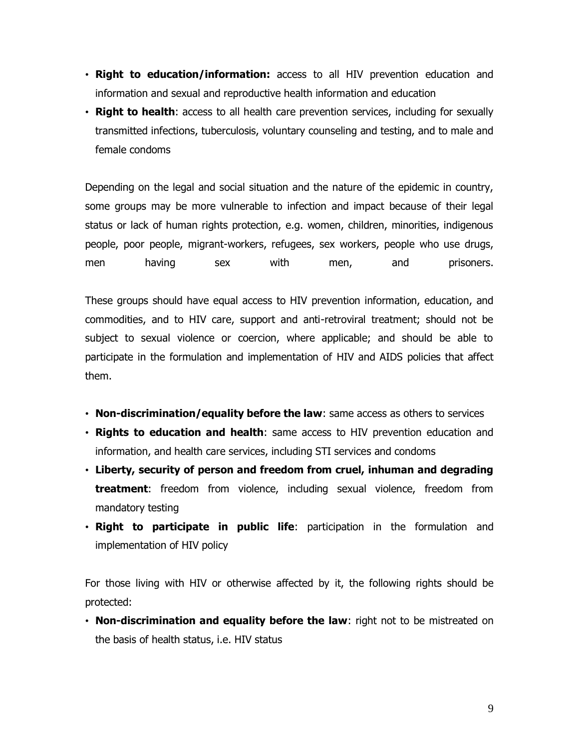- **Right to education/information:** access to all HIV prevention education and information and sexual and reproductive health information and education
- **Right to health**: access to all health care prevention services, including for sexually transmitted infections, tuberculosis, voluntary counseling and testing, and to male and female condoms

Depending on the legal and social situation and the nature of the epidemic in country, some groups may be more vulnerable to infection and impact because of their legal status or lack of human rights protection, e.g. women, children, minorities, indigenous people, poor people, migrant-workers, refugees, sex workers, people who use drugs, men having sex with men, and prisoners.

These groups should have equal access to HIV prevention information, education, and commodities, and to HIV care, support and anti-retroviral treatment; should not be subject to sexual violence or coercion, where applicable; and should be able to participate in the formulation and implementation of HIV and AIDS policies that affect them.

- **Non-discrimination/equality before the law**: same access as others to services
- **Rights to education and health**: same access to HIV prevention education and information, and health care services, including STI services and condoms
- **Liberty, security of person and freedom from cruel, inhuman and degrading treatment**: freedom from violence, including sexual violence, freedom from mandatory testing
- **Right to participate in public life**: participation in the formulation and implementation of HIV policy

For those living with HIV or otherwise affected by it, the following rights should be protected:

• **Non-discrimination and equality before the law**: right not to be mistreated on the basis of health status, i.e. HIV status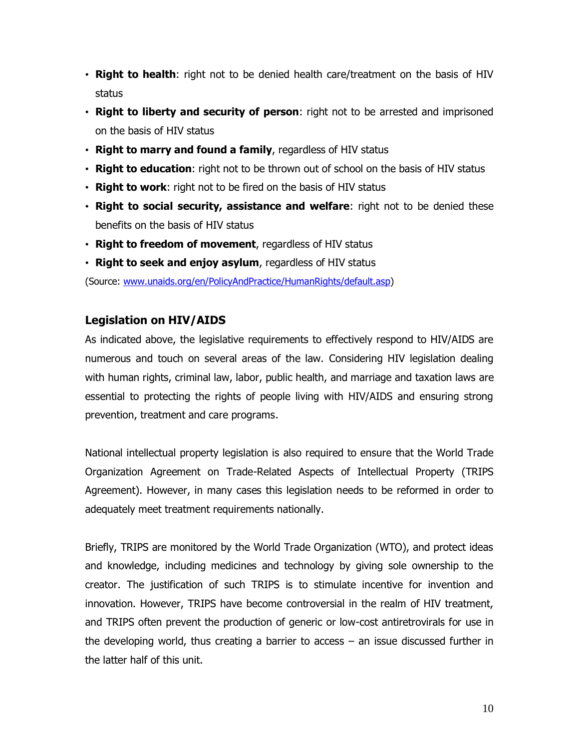- **Right to health**: right not to be denied health care/treatment on the basis of HIV status
- **Right to liberty and security of person**: right not to be arrested and imprisoned on the basis of HIV status
- **Right to marry and found a family**, regardless of HIV status
- **Right to education**: right not to be thrown out of school on the basis of HIV status
- **Right to work**: right not to be fired on the basis of HIV status
- **Right to social security, assistance and welfare**: right not to be denied these benefits on the basis of HIV status
- **Right to freedom of movement**, regardless of HIV status
- **Right to seek and enjoy asylum**, regardless of HIV status

(Source: [www.unaids.org/en/PolicyAndPractice/HumanRights/default.asp\)](http://www.unaids.org/en/PolicyAndPractice/HumanRights/default.asp)

# **Legislation on HIV/AIDS**

As indicated above, the legislative requirements to effectively respond to HIV/AIDS are numerous and touch on several areas of the law. Considering HIV legislation dealing with human rights, criminal law, labor, public health, and marriage and taxation laws are essential to protecting the rights of people living with HIV/AIDS and ensuring strong prevention, treatment and care programs.

National intellectual property legislation is also required to ensure that the World Trade Organization Agreement on Trade-Related Aspects of Intellectual Property (TRIPS Agreement). However, in many cases this legislation needs to be reformed in order to adequately meet treatment requirements nationally.

Briefly, TRIPS are monitored by the World Trade Organization (WTO), and protect ideas and knowledge, including medicines and technology by giving sole ownership to the creator. The justification of such TRIPS is to stimulate incentive for invention and innovation. However, TRIPS have become controversial in the realm of HIV treatment, and TRIPS often prevent the production of generic or low-cost antiretrovirals for use in the developing world, thus creating a barrier to access – an issue discussed further in the latter half of this unit.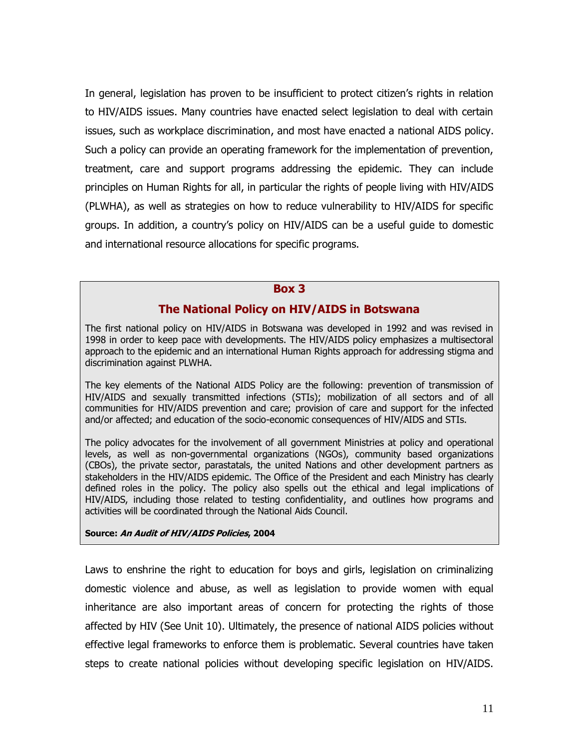In general, legislation has proven to be insufficient to protect citizen's rights in relation to HIV/AIDS issues. Many countries have enacted select legislation to deal with certain issues, such as workplace discrimination, and most have enacted a national AIDS policy. Such a policy can provide an operating framework for the implementation of prevention, treatment, care and support programs addressing the epidemic. They can include principles on Human Rights for all, in particular the rights of people living with HIV/AIDS (PLWHA), as well as strategies on how to reduce vulnerability to HIV/AIDS for specific groups. In addition, a country"s policy on HIV/AIDS can be a useful guide to domestic and international resource allocations for specific programs.

#### **Box 3**

#### **The National Policy on HIV/AIDS in Botswana**

The first national policy on HIV/AIDS in Botswana was developed in 1992 and was revised in 1998 in order to keep pace with developments. The HIV/AIDS policy emphasizes a multisectoral approach to the epidemic and an international Human Rights approach for addressing stigma and discrimination against PLWHA.

The key elements of the National AIDS Policy are the following: prevention of transmission of HIV/AIDS and sexually transmitted infections (STIs); mobilization of all sectors and of all communities for HIV/AIDS prevention and care; provision of care and support for the infected and/or affected; and education of the socio-economic consequences of HIV/AIDS and STIs.

The policy advocates for the involvement of all government Ministries at policy and operational levels, as well as non-governmental organizations (NGOs), community based organizations (CBOs), the private sector, parastatals, the united Nations and other development partners as stakeholders in the HIV/AIDS epidemic. The Office of the President and each Ministry has clearly defined roles in the policy. The policy also spells out the ethical and legal implications of HIV/AIDS, including those related to testing confidentiality, and outlines how programs and activities will be coordinated through the National Aids Council.

#### **Source: An Audit of HIV/AIDS Policies, 2004**

Laws to enshrine the right to education for boys and girls, legislation on criminalizing domestic violence and abuse, as well as legislation to provide women with equal inheritance are also important areas of concern for protecting the rights of those affected by HIV (See Unit 10). Ultimately, the presence of national AIDS policies without effective legal frameworks to enforce them is problematic. Several countries have taken steps to create national policies without developing specific legislation on HIV/AIDS.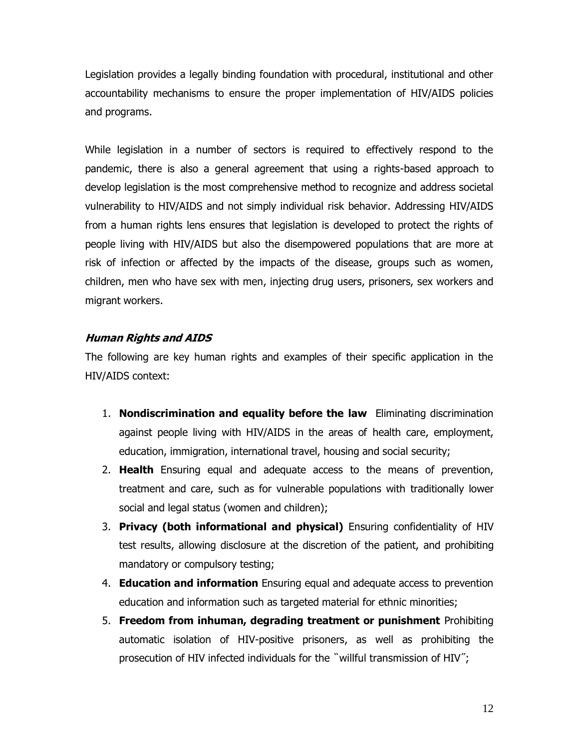Legislation provides a legally binding foundation with procedural, institutional and other accountability mechanisms to ensure the proper implementation of HIV/AIDS policies and programs.

While legislation in a number of sectors is required to effectively respond to the pandemic, there is also a general agreement that using a rights-based approach to develop legislation is the most comprehensive method to recognize and address societal vulnerability to HIV/AIDS and not simply individual risk behavior. Addressing HIV/AIDS from a human rights lens ensures that legislation is developed to protect the rights of people living with HIV/AIDS but also the disempowered populations that are more at risk of infection or affected by the impacts of the disease, groups such as women, children, men who have sex with men, injecting drug users, prisoners, sex workers and migrant workers.

#### **Human Rights and AIDS**

The following are key human rights and examples of their specific application in the HIV/AIDS context:

- 1. **Nondiscrimination and equality before the law** Eliminating discrimination against people living with HIV/AIDS in the areas of health care, employment, education, immigration, international travel, housing and social security;
- 2. **Health** Ensuring equal and adequate access to the means of prevention, treatment and care, such as for vulnerable populations with traditionally lower social and legal status (women and children);
- 3. **Privacy (both informational and physical)** Ensuring confidentiality of HIV test results, allowing disclosure at the discretion of the patient, and prohibiting mandatory or compulsory testing;
- 4. **Education and information** Ensuring equal and adequate access to prevention education and information such as targeted material for ethnic minorities;
- 5. **Freedom from inhuman, degrading treatment or punishment** Prohibiting automatic isolation of HIV-positive prisoners, as well as prohibiting the prosecution of HIV infected individuals for the "willful transmission of HIV";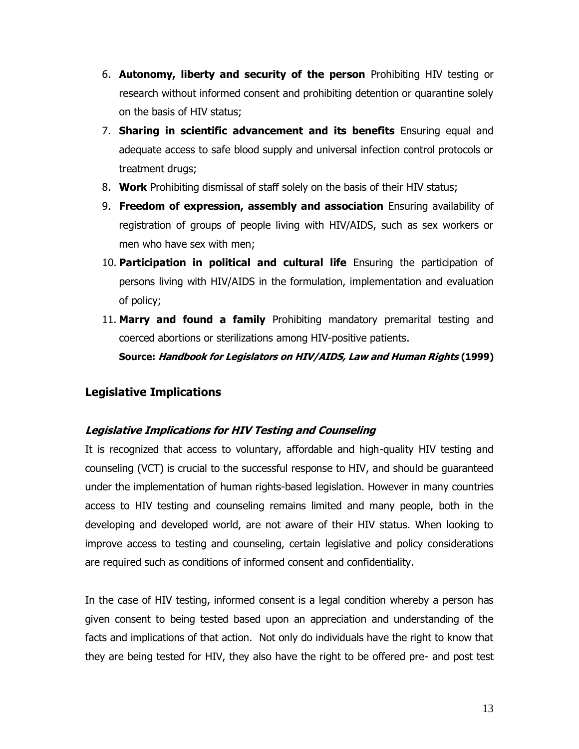- 6. **Autonomy, liberty and security of the person** Prohibiting HIV testing or research without informed consent and prohibiting detention or quarantine solely on the basis of HIV status;
- 7. **Sharing in scientific advancement and its benefits** Ensuring equal and adequate access to safe blood supply and universal infection control protocols or treatment drugs;
- 8. **Work** Prohibiting dismissal of staff solely on the basis of their HIV status;
- 9. **Freedom of expression, assembly and association** Ensuring availability of registration of groups of people living with HIV/AIDS, such as sex workers or men who have sex with men;
- 10. **Participation in political and cultural life** Ensuring the participation of persons living with HIV/AIDS in the formulation, implementation and evaluation of policy;
- 11. **Marry and found a family** Prohibiting mandatory premarital testing and coerced abortions or sterilizations among HIV-positive patients.

**Source: Handbook for Legislators on HIV/AIDS, Law and Human Rights (1999)**

# **Legislative Implications**

# **Legislative Implications for HIV Testing and Counseling**

It is recognized that access to voluntary, affordable and high-quality HIV testing and counseling (VCT) is crucial to the successful response to HIV, and should be guaranteed under the implementation of human rights-based legislation. However in many countries access to HIV testing and counseling remains limited and many people, both in the developing and developed world, are not aware of their HIV status. When looking to improve access to testing and counseling, certain legislative and policy considerations are required such as conditions of informed consent and confidentiality.

In the case of HIV testing, informed consent is a legal condition whereby a person has given consent to being tested based upon an appreciation and understanding of the facts and implications of that action. Not only do individuals have the right to know that they are being tested for HIV, they also have the right to be offered pre- and post test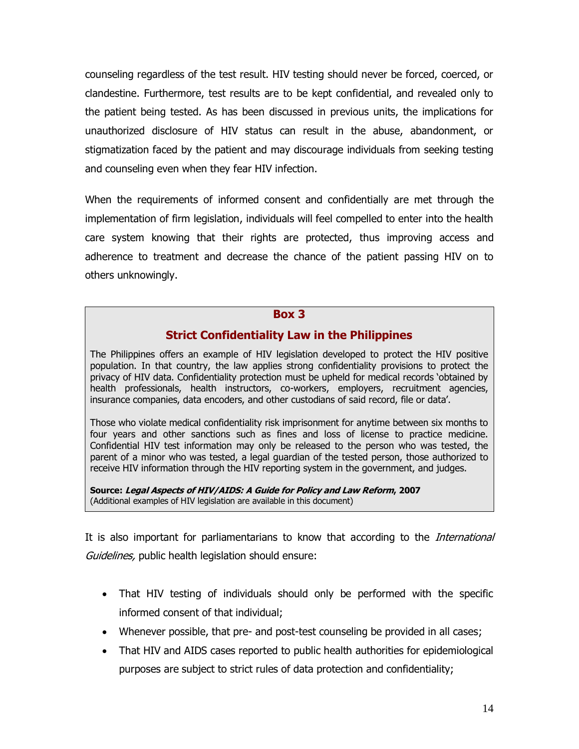counseling regardless of the test result. HIV testing should never be forced, coerced, or clandestine. Furthermore, test results are to be kept confidential, and revealed only to the patient being tested. As has been discussed in previous units, the implications for unauthorized disclosure of HIV status can result in the abuse, abandonment, or stigmatization faced by the patient and may discourage individuals from seeking testing and counseling even when they fear HIV infection.

When the requirements of informed consent and confidentially are met through the implementation of firm legislation, individuals will feel compelled to enter into the health care system knowing that their rights are protected, thus improving access and adherence to treatment and decrease the chance of the patient passing HIV on to others unknowingly.

#### **Box 3**

# **Strict Confidentiality Law in the Philippines**

The Philippines offers an example of HIV legislation developed to protect the HIV positive population. In that country, the law applies strong confidentiality provisions to protect the privacy of HIV data. Confidentiality protection must be upheld for medical records "obtained by health professionals, health instructors, co-workers, employers, recruitment agencies, insurance companies, data encoders, and other custodians of said record, file or data".

Those who violate medical confidentiality risk imprisonment for anytime between six months to four years and other sanctions such as fines and loss of license to practice medicine. Confidential HIV test information may only be released to the person who was tested, the parent of a minor who was tested, a legal guardian of the tested person, those authorized to receive HIV information through the HIV reporting system in the government, and judges.

**Source: Legal Aspects of HIV/AIDS: A Guide for Policy and Law Reform, 2007** (Additional examples of HIV legislation are available in this document)

It is also important for parliamentarians to know that according to the *International* Guidelines, public health legislation should ensure:

- That HIV testing of individuals should only be performed with the specific informed consent of that individual;
- Whenever possible, that pre- and post-test counseling be provided in all cases;
- That HIV and AIDS cases reported to public health authorities for epidemiological purposes are subject to strict rules of data protection and confidentiality;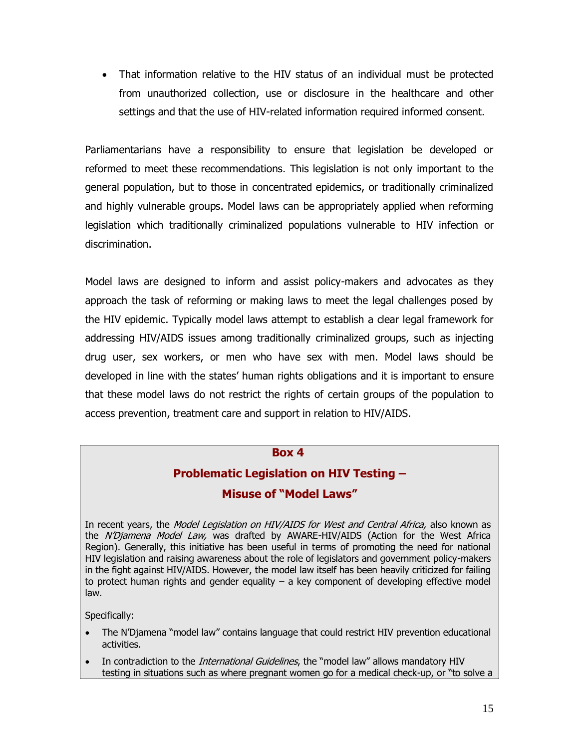That information relative to the HIV status of an individual must be protected from unauthorized collection, use or disclosure in the healthcare and other settings and that the use of HIV-related information required informed consent.

Parliamentarians have a responsibility to ensure that legislation be developed or reformed to meet these recommendations. This legislation is not only important to the general population, but to those in concentrated epidemics, or traditionally criminalized and highly vulnerable groups. Model laws can be appropriately applied when reforming legislation which traditionally criminalized populations vulnerable to HIV infection or discrimination.

Model laws are designed to inform and assist policy-makers and advocates as they approach the task of reforming or making laws to meet the legal challenges posed by the HIV epidemic. Typically model laws attempt to establish a clear legal framework for addressing HIV/AIDS issues among traditionally criminalized groups, such as injecting drug user, sex workers, or men who have sex with men. Model laws should be developed in line with the states" human rights obligations and it is important to ensure that these model laws do not restrict the rights of certain groups of the population to access prevention, treatment care and support in relation to HIV/AIDS.

#### **Box 4**

#### **Problematic Legislation on HIV Testing –**

#### **Misuse of "Model Laws"**

In recent years, the *Model Legislation on HIV/AIDS for West and Central Africa*, also known as the N'Djamena Model Law, was drafted by AWARE-HIV/AIDS (Action for the West Africa Region). Generally, this initiative has been useful in terms of promoting the need for national HIV legislation and raising awareness about the role of legislators and government policy-makers in the fight against HIV/AIDS. However, the model law itself has been heavily criticized for failing to protect human rights and gender equality – a key component of developing effective model law.

Specifically:

- The N"Djamena "model law" contains language that could restrict HIV prevention educational activities.
- In contradiction to the *International Guidelines*, the "model law" allows mandatory HIV testing in situations such as where pregnant women go for a medical check-up, or "to solve a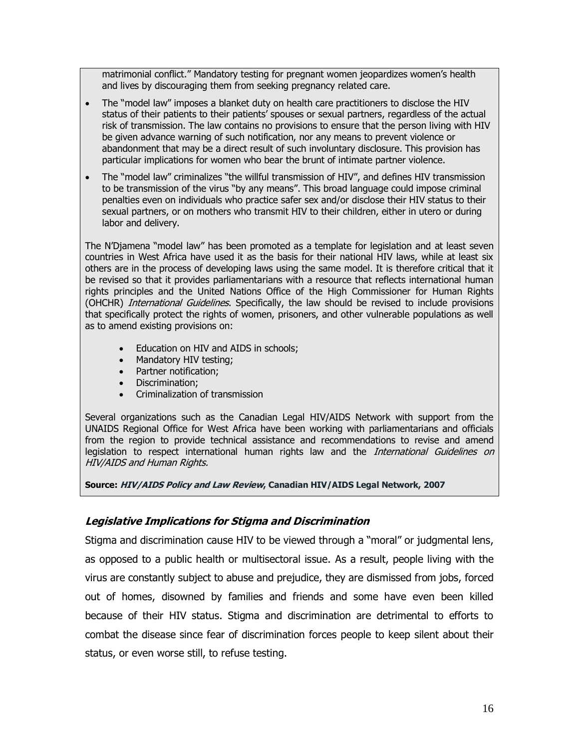matrimonial conflict." Mandatory testing for pregnant women jeopardizes women"s health and lives by discouraging them from seeking pregnancy related care.

- The "model law" imposes a blanket duty on health care practitioners to disclose the HIV status of their patients to their patients" spouses or sexual partners, regardless of the actual risk of transmission. The law contains no provisions to ensure that the person living with HIV be given advance warning of such notification, nor any means to prevent violence or abandonment that may be a direct result of such involuntary disclosure. This provision has particular implications for women who bear the brunt of intimate partner violence.
- The "model law" criminalizes "the willful transmission of HIV", and defines HIV transmission to be transmission of the virus "by any means". This broad language could impose criminal penalties even on individuals who practice safer sex and/or disclose their HIV status to their sexual partners, or on mothers who transmit HIV to their children, either in utero or during labor and delivery.

The N"Djamena "model law" has been promoted as a template for legislation and at least seven countries in West Africa have used it as the basis for their national HIV laws, while at least six others are in the process of developing laws using the same model. It is therefore critical that it be revised so that it provides parliamentarians with a resource that reflects international human rights principles and the United Nations Office of the High Commissioner for Human Rights (OHCHR) *International Guidelines*. Specifically, the law should be revised to include provisions that specifically protect the rights of women, prisoners, and other vulnerable populations as well as to amend existing provisions on:

- Education on HIV and AIDS in schools;
- Mandatory HIV testing;
- Partner notification:
- Discrimination:
- Criminalization of transmission

Several organizations such as the Canadian Legal HIV/AIDS Network with support from the UNAIDS Regional Office for West Africa have been working with parliamentarians and officials from the region to provide technical assistance and recommendations to revise and amend legislation to respect international human rights law and the *International Guidelines on* HIV/AIDS and Human Rights.

**Source: HIV/AIDS Policy and Law Review, Canadian HIV/AIDS Legal Network, 2007**

#### **Legislative Implications for Stigma and Discrimination**

Stigma and discrimination cause HIV to be viewed through a "moral" or judgmental lens, as opposed to a public health or multisectoral issue. As a result, people living with the virus are constantly subject to abuse and prejudice, they are dismissed from jobs, forced out of homes, disowned by families and friends and some have even been killed because of their HIV status. Stigma and discrimination are detrimental to efforts to combat the disease since fear of discrimination forces people to keep silent about their status, or even worse still, to refuse testing.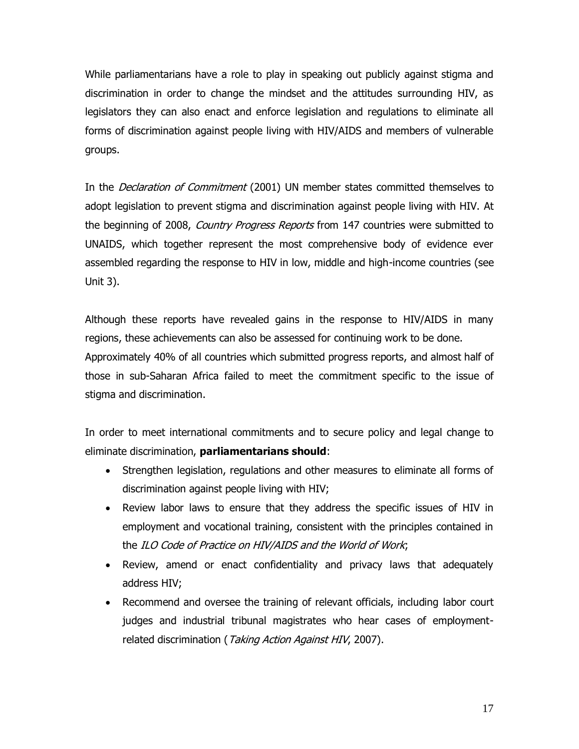While parliamentarians have a role to play in speaking out publicly against stigma and discrimination in order to change the mindset and the attitudes surrounding HIV, as legislators they can also enact and enforce legislation and regulations to eliminate all forms of discrimination against people living with HIV/AIDS and members of vulnerable groups.

In the *Declaration of Commitment* (2001) UN member states committed themselves to adopt legislation to prevent stigma and discrimination against people living with HIV. At the beginning of 2008, *Country Progress Reports* from 147 countries were submitted to UNAIDS, which together represent the most comprehensive body of evidence ever assembled regarding the response to HIV in low, middle and high-income countries (see Unit 3).

Although these reports have revealed gains in the response to HIV/AIDS in many regions, these achievements can also be assessed for continuing work to be done. Approximately 40% of all countries which submitted progress reports, and almost half of those in sub-Saharan Africa failed to meet the commitment specific to the issue of stigma and discrimination.

In order to meet international commitments and to secure policy and legal change to eliminate discrimination, **parliamentarians should**:

- Strengthen legislation, regulations and other measures to eliminate all forms of discrimination against people living with HIV;
- Review labor laws to ensure that they address the specific issues of HIV in employment and vocational training, consistent with the principles contained in the ILO Code of Practice on HIV/AIDS and the World of Work;
- Review, amend or enact confidentiality and privacy laws that adequately address HIV;
- Recommend and oversee the training of relevant officials, including labor court judges and industrial tribunal magistrates who hear cases of employmentrelated discrimination (Taking Action Against HIV, 2007).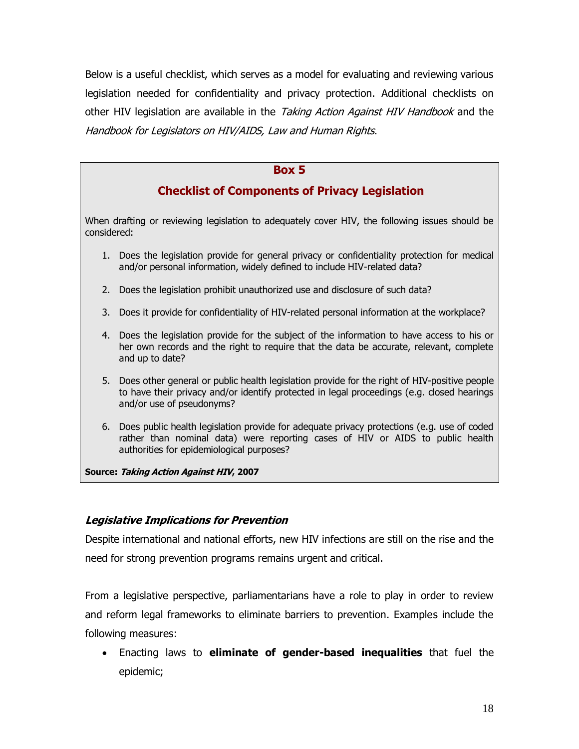Below is a useful checklist, which serves as a model for evaluating and reviewing various legislation needed for confidentiality and privacy protection. Additional checklists on other HIV legislation are available in the *Taking Action Against HIV Handbook* and the Handbook for Legislators on HIV/AIDS, Law and Human Rights.

#### **Box 5**

# **Checklist of Components of Privacy Legislation**

When drafting or reviewing legislation to adequately cover HIV, the following issues should be considered:

- 1. Does the legislation provide for general privacy or confidentiality protection for medical and/or personal information, widely defined to include HIV-related data?
- 2. Does the legislation prohibit unauthorized use and disclosure of such data?
- 3. Does it provide for confidentiality of HIV-related personal information at the workplace?
- 4. Does the legislation provide for the subject of the information to have access to his or her own records and the right to require that the data be accurate, relevant, complete and up to date?
- 5. Does other general or public health legislation provide for the right of HIV-positive people to have their privacy and/or identify protected in legal proceedings (e.g. closed hearings and/or use of pseudonyms?
- 6. Does public health legislation provide for adequate privacy protections (e.g. use of coded rather than nominal data) were reporting cases of HIV or AIDS to public health authorities for epidemiological purposes?

**Source: Taking Action Against HIV, 2007**

#### **Legislative Implications for Prevention**

Despite international and national efforts, new HIV infections are still on the rise and the need for strong prevention programs remains urgent and critical.

From a legislative perspective, parliamentarians have a role to play in order to review and reform legal frameworks to eliminate barriers to prevention. Examples include the following measures:

 Enacting laws to **eliminate of gender-based inequalities** that fuel the epidemic;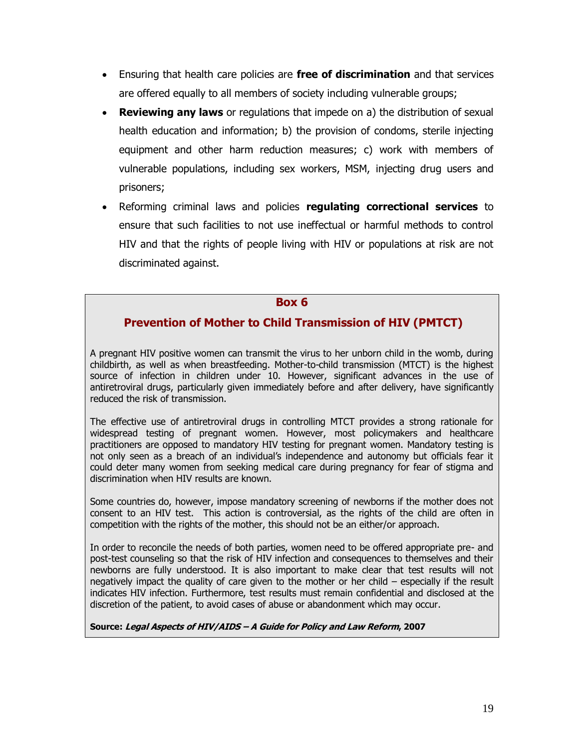- Ensuring that health care policies are **free of discrimination** and that services are offered equally to all members of society including vulnerable groups;
- **Reviewing any laws** or regulations that impede on a) the distribution of sexual health education and information; b) the provision of condoms, sterile injecting equipment and other harm reduction measures; c) work with members of vulnerable populations, including sex workers, MSM, injecting drug users and prisoners;
- Reforming criminal laws and policies **regulating correctional services** to ensure that such facilities to not use ineffectual or harmful methods to control HIV and that the rights of people living with HIV or populations at risk are not discriminated against.

#### **Box 6**

# **Prevention of Mother to Child Transmission of HIV (PMTCT)**

A pregnant HIV positive women can transmit the virus to her unborn child in the womb, during childbirth, as well as when breastfeeding. Mother-to-child transmission (MTCT) is the highest source of infection in children under 10. However, significant advances in the use of antiretroviral drugs, particularly given immediately before and after delivery, have significantly reduced the risk of transmission.

The effective use of antiretroviral drugs in controlling MTCT provides a strong rationale for widespread testing of pregnant women. However, most policymakers and healthcare practitioners are opposed to mandatory HIV testing for pregnant women. Mandatory testing is not only seen as a breach of an individual"s independence and autonomy but officials fear it could deter many women from seeking medical care during pregnancy for fear of stigma and discrimination when HIV results are known.

Some countries do, however, impose mandatory screening of newborns if the mother does not consent to an HIV test. This action is controversial, as the rights of the child are often in competition with the rights of the mother, this should not be an either/or approach.

In order to reconcile the needs of both parties, women need to be offered appropriate pre- and post-test counseling so that the risk of HIV infection and consequences to themselves and their newborns are fully understood. It is also important to make clear that test results will not negatively impact the quality of care given to the mother or her child – especially if the result indicates HIV infection. Furthermore, test results must remain confidential and disclosed at the discretion of the patient, to avoid cases of abuse or abandonment which may occur.

**Source: Legal Aspects of HIV/AIDS – A Guide for Policy and Law Reform, 2007**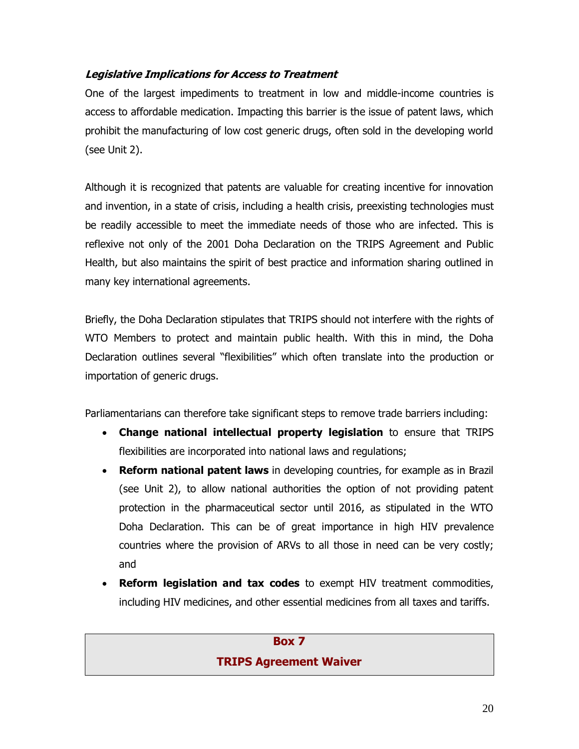### **Legislative Implications for Access to Treatment**

One of the largest impediments to treatment in low and middle-income countries is access to affordable medication. Impacting this barrier is the issue of patent laws, which prohibit the manufacturing of low cost generic drugs, often sold in the developing world (see Unit 2).

Although it is recognized that patents are valuable for creating incentive for innovation and invention, in a state of crisis, including a health crisis, preexisting technologies must be readily accessible to meet the immediate needs of those who are infected. This is reflexive not only of the 2001 Doha Declaration on the TRIPS Agreement and Public Health, but also maintains the spirit of best practice and information sharing outlined in many key international agreements.

Briefly, the Doha Declaration stipulates that TRIPS should not interfere with the rights of WTO Members to protect and maintain public health. With this in mind, the Doha Declaration outlines several "flexibilities" which often translate into the production or importation of generic drugs.

Parliamentarians can therefore take significant steps to remove trade barriers including:

- **Change national intellectual property legislation** to ensure that TRIPS flexibilities are incorporated into national laws and regulations;
- **Reform national patent laws** in developing countries, for example as in Brazil (see Unit 2), to allow national authorities the option of not providing patent protection in the pharmaceutical sector until 2016, as stipulated in the WTO Doha Declaration. This can be of great importance in high HIV prevalence countries where the provision of ARVs to all those in need can be very costly; and
- **Reform legislation and tax codes** to exempt HIV treatment commodities, including HIV medicines, and other essential medicines from all taxes and tariffs.

# **Box 7 TRIPS Agreement Waiver**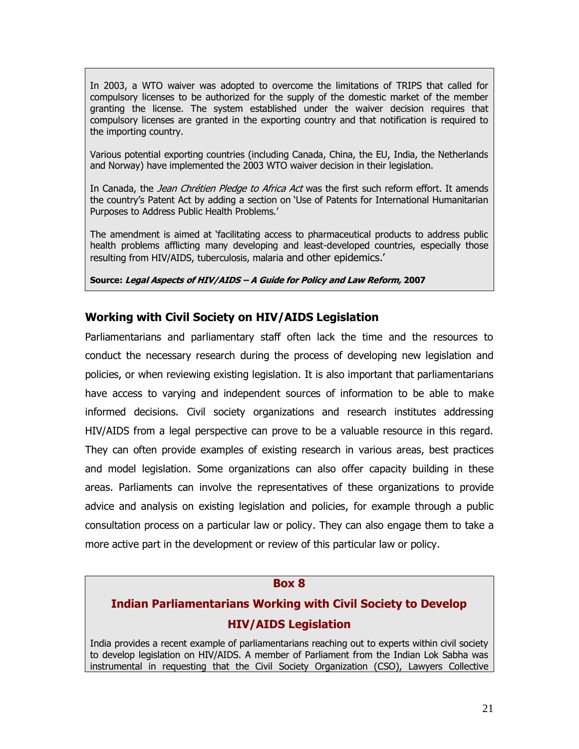In 2003, a WTO waiver was adopted to overcome the limitations of TRIPS that called for compulsory licenses to be authorized for the supply of the domestic market of the member granting the license. The system established under the waiver decision requires that compulsory licenses are granted in the exporting country and that notification is required to the importing country.

Various potential exporting countries (including Canada, China, the EU, India, the Netherlands and Norway) have implemented the 2003 WTO waiver decision in their legislation.

In Canada, the Jean Chrétien Pledge to Africa Act was the first such reform effort. It amends the country"s Patent Act by adding a section on "Use of Patents for International Humanitarian Purposes to Address Public Health Problems.'

The amendment is aimed at "facilitating access to pharmaceutical products to address public health problems afflicting many developing and least-developed countries, especially those resulting from HIV/AIDS, tuberculosis, malaria and other epidemics.'

**Source: Legal Aspects of HIV/AIDS – A Guide for Policy and Law Reform, 2007**

#### **Working with Civil Society on HIV/AIDS Legislation**

Parliamentarians and parliamentary staff often lack the time and the resources to conduct the necessary research during the process of developing new legislation and policies, or when reviewing existing legislation. It is also important that parliamentarians have access to varying and independent sources of information to be able to make informed decisions. Civil society organizations and research institutes addressing HIV/AIDS from a legal perspective can prove to be a valuable resource in this regard. They can often provide examples of existing research in various areas, best practices and model legislation. Some organizations can also offer capacity building in these areas. Parliaments can involve the representatives of these organizations to provide advice and analysis on existing legislation and policies, for example through a public consultation process on a particular law or policy. They can also engage them to take a more active part in the development or review of this particular law or policy.

#### **Box 8**

# **Indian Parliamentarians Working with Civil Society to Develop HIV/AIDS Legislation**

India provides a recent example of parliamentarians reaching out to experts within civil society to develop legislation on HIV/AIDS. A member of Parliament from the Indian Lok Sabha was instrumental in requesting that the Civil Society Organization (CSO), Lawyers Collective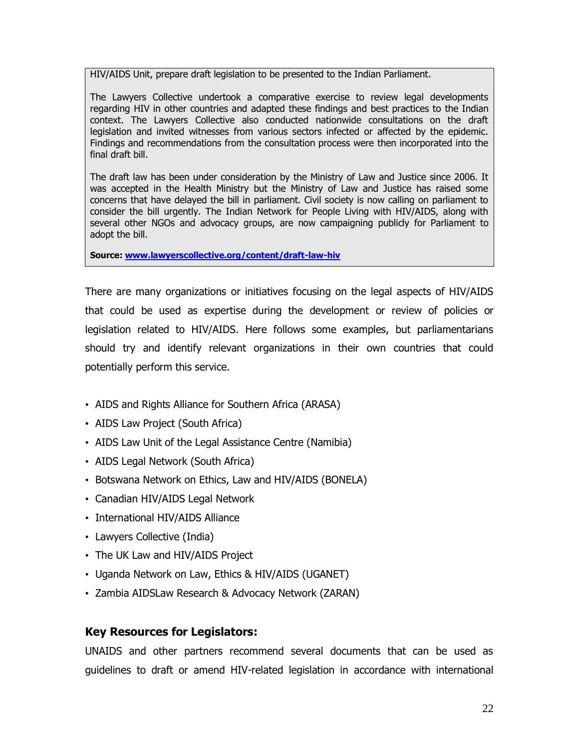HIV/AIDS Unit, prepare draft legislation to be presented to the Indian Parliament.

The Lawyers Collective undertook a comparative exercise to review legal developments regarding HIV in other countries and adapted these findings and best practices to the Indian context. The Lawyers Collective also conducted nationwide consultations on the draft legislation and invited witnesses from various sectors infected or affected by the epidemic. Findings and recommendations from the consultation process were then incorporated into the final draft bill.

The draft law has been under consideration by the Ministry of Law and Justice since 2006. It was accepted in the Health Ministry but the Ministry of Law and Justice has raised some concerns that have delayed the bill in parliament. Civil society is now calling on parliament to consider the bill urgently. The Indian Network for People Living with HIV/AIDS, along with several other NGOs and advocacy groups, are now campaigning publicly for Parliament to adopt the bill.

**Source: [www.lawyerscollective.org/content/draft-law-hiv](http://www.lawyerscollective.org/content/draft-law-hiv)**

There are many organizations or initiatives focusing on the legal aspects of HIV/AIDS that could be used as expertise during the development or review of policies or legislation related to HIV/AIDS. Here follows some examples, but parliamentarians should try and identify relevant organizations in their own countries that could potentially perform this service.

- AIDS and Rights Alliance for Southern Africa (ARASA)
- AIDS Law Project (South Africa)
- AIDS Law Unit of the Legal Assistance Centre (Namibia)
- AIDS Legal Network (South Africa)
- Botswana Network on Ethics, Law and HIV/AIDS (BONELA)
- Canadian HIV/AIDS Legal Network
- International HIV/AIDS Alliance
- Lawyers Collective (India)
- The UK Law and HIV/AIDS Project
- Uganda Network on Law, Ethics & HIV/AIDS (UGANET)
- Zambia AIDSLaw Research & Advocacy Network (ZARAN)

#### **Key Resources for Legislators:**

UNAIDS and other partners recommend several documents that can be used as guidelines to draft or amend HIV-related legislation in accordance with international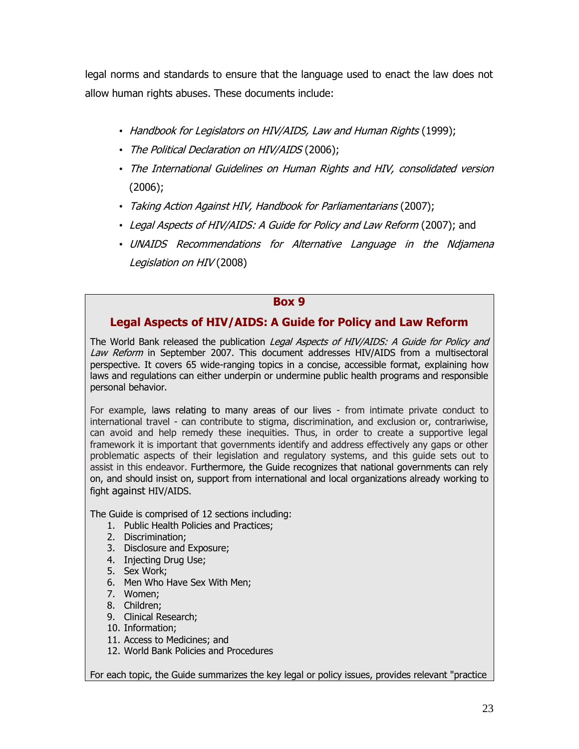legal norms and standards to ensure that the language used to enact the law does not allow human rights abuses. These documents include:

- Handbook for Legislators on HIV/AIDS, Law and Human Rights (1999);
- The Political Declaration on HIV/AIDS (2006);
- The International Guidelines on Human Rights and HIV, consolidated version (2006);
- Taking Action Against HIV, Handbook for Parliamentarians (2007);
- Legal Aspects of HIV/AIDS: A Guide for Policy and Law Reform (2007); and
- UNAIDS Recommendations for Alternative Language in the Ndjamena Legislation on HIV (2008)

#### **Box 9**

# **Legal Aspects of HIV/AIDS: A Guide for Policy and Law Reform**

The World Bank released the publication Legal Aspects of HIV/AIDS: A Guide for Policy and Law Reform in September 2007. This document addresses HIV/AIDS from a multisectoral perspective. It covers 65 wide-ranging topics in a concise, accessible format, explaining how laws and regulations can either underpin or undermine public health programs and responsible personal behavior.

For example, laws relating to many areas of our lives - from intimate private conduct to international travel - can contribute to stigma, discrimination, and exclusion or, contrariwise, can avoid and help remedy these inequities. Thus, in order to create a supportive legal framework it is important that governments identify and address effectively any gaps or other problematic aspects of their legislation and regulatory systems, and this guide sets out to assist in this endeavor. Furthermore, the Guide recognizes that national governments can rely on, and should insist on, support from international and local organizations already working to fight against HIV/AIDS.

The Guide is comprised of 12 sections including:

- 1. Public Health Policies and Practices;
- 2. Discrimination;
- 3. Disclosure and Exposure;
- 4. Injecting Drug Use;
- 5. Sex Work;
- 6. Men Who Have Sex With Men;
- 7. Women;
- 8. Children;
- 9. Clinical Research;
- 10. Information;
- 11. Access to Medicines; and
- 12. World Bank Policies and Procedures

For each topic, the Guide summarizes the key legal or policy issues, provides relevant "practice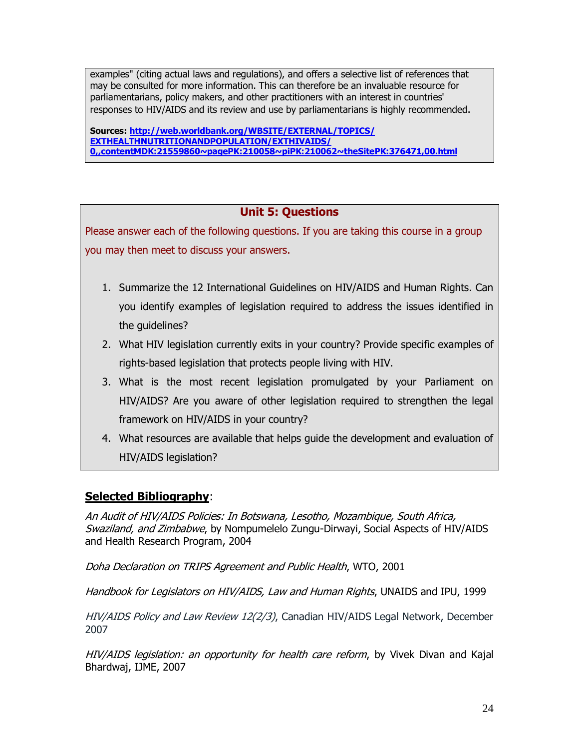examples" (citing actual laws and regulations), and offers a selective list of references that may be consulted for more information. This can therefore be an invaluable resource for parliamentarians, policy makers, and other practitioners with an interest in countries' responses to HIV/AIDS and its review and use by parliamentarians is highly recommended.

**Sources: [http://web.worldbank.org/WBSITE/EXTERNAL/TOPICS/](http://web.worldbank.org/WBSITE/EXTERNAL/TOPICS/EXTHEALTHNUTRITIONANDPOPULATION/EXTHIVAIDS/0,,contentMDK:21559860~pagePK:210058~piPK:210062~theSitePK:376471,00.html) [EXTHEALTHNUTRITIONANDPOPULATION/EXTHIVAIDS/](http://web.worldbank.org/WBSITE/EXTERNAL/TOPICS/EXTHEALTHNUTRITIONANDPOPULATION/EXTHIVAIDS/0,,contentMDK:21559860~pagePK:210058~piPK:210062~theSitePK:376471,00.html) [0,,contentMDK:21559860~pagePK:210058~piPK:210062~theSitePK:376471,00.html](http://web.worldbank.org/WBSITE/EXTERNAL/TOPICS/EXTHEALTHNUTRITIONANDPOPULATION/EXTHIVAIDS/0,,contentMDK:21559860~pagePK:210058~piPK:210062~theSitePK:376471,00.html)**

# **Unit 5: Questions**

Please answer each of the following questions. If you are taking this course in a group you may then meet to discuss your answers.

- 1. Summarize the 12 International Guidelines on HIV/AIDS and Human Rights. Can you identify examples of legislation required to address the issues identified in the guidelines?
- 2. What HIV legislation currently exits in your country? Provide specific examples of rights-based legislation that protects people living with HIV.
- 3. What is the most recent legislation promulgated by your Parliament on HIV/AIDS? Are you aware of other legislation required to strengthen the legal framework on HIV/AIDS in your country?
- 4. What resources are available that helps guide the development and evaluation of HIV/AIDS legislation?

# **Selected Bibliography**:

An Audit of HIV/AIDS Policies: In Botswana, Lesotho, Mozambique, South Africa, Swaziland, and Zimbabwe, by Nompumelelo Zungu-Dirwayi, Social Aspects of HIV/AIDS and Health Research Program, 2004

Doha Declaration on TRIPS Agreement and Public Health, WTO, 2001

Handbook for Legislators on HIV/AIDS, Law and Human Rights, UNAIDS and IPU, 1999

HIV/AIDS Policy and Law Review 12(2/3), Canadian HIV/AIDS Legal Network, December 2007

HIV/AIDS legislation: an opportunity for health care reform, by Vivek Divan and Kajal Bhardwaj, IJME, 2007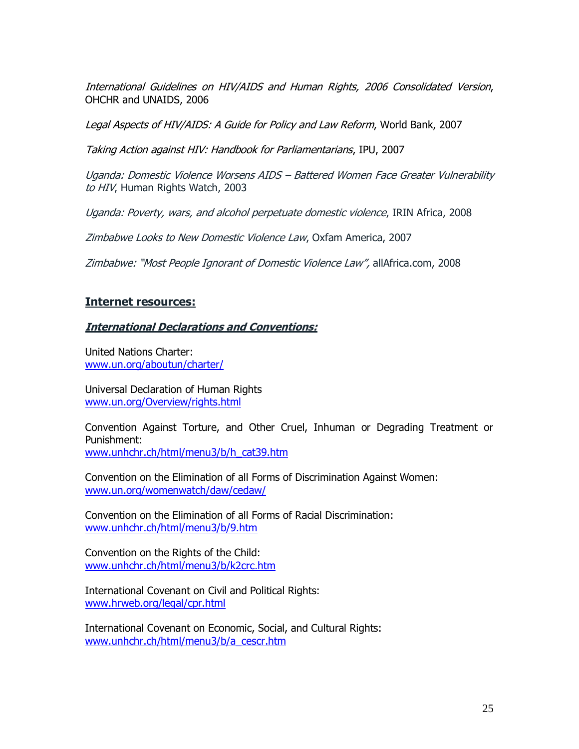International Guidelines on HIV/AIDS and Human Rights, 2006 Consolidated Version, OHCHR and UNAIDS, 2006

Legal Aspects of HIV/AIDS: A Guide for Policy and Law Reform, World Bank, 2007

Taking Action against HIV: Handbook for Parliamentarians, IPU, 2007

Uganda: Domestic Violence Worsens AIDS – Battered Women Face Greater Vulnerability to HIV, Human Rights Watch, 2003

Uganda: Poverty, wars, and alcohol perpetuate domestic violence, IRIN Africa, 2008

Zimbabwe Looks to New Domestic Violence Law, Oxfam America, 2007

Zimbabwe: "Most People Ignorant of Domestic Violence Law", allAfrica.com, 2008

#### **Internet resources:**

#### **International Declarations and Conventions:**

United Nations Charter: [www.un.org/aboutun/charter/](http://www.un.org/aboutun/charter/)

Universal Declaration of Human Rights [www.un.org/Overview/rights.html](http://www.un.org/Overview/rights.html)

Convention Against Torture, and Other Cruel, Inhuman or Degrading Treatment or Punishment: [www.unhchr.ch/html/menu3/b/h\\_cat39.htm](http://www.unhchr.ch/html/menu3/b/h_cat39.htm)

Convention on the Elimination of all Forms of Discrimination Against Women: [www.un.org/womenwatch/daw/cedaw/](http://www.un.org/womenwatch/daw/cedaw/)

Convention on the Elimination of all Forms of Racial Discrimination: [www.unhchr.ch/html/menu3/b/9.htm](http://www.unhchr.ch/html/menu3/b/9.htm)

Convention on the Rights of the Child: [www.unhchr.ch/html/menu3/b/k2crc.htm](http://www.unhchr.ch/html/menu3/b/k2crc.htm)

International Covenant on Civil and Political Rights: [www.hrweb.org/legal/cpr.html](http://www.hrweb.org/legal/cpr.html)

International Covenant on Economic, Social, and Cultural Rights: [www.unhchr.ch/html/menu3/b/a\\_cescr.htm](http://www.unhchr.ch/html/menu3/b/a_cescr.htm)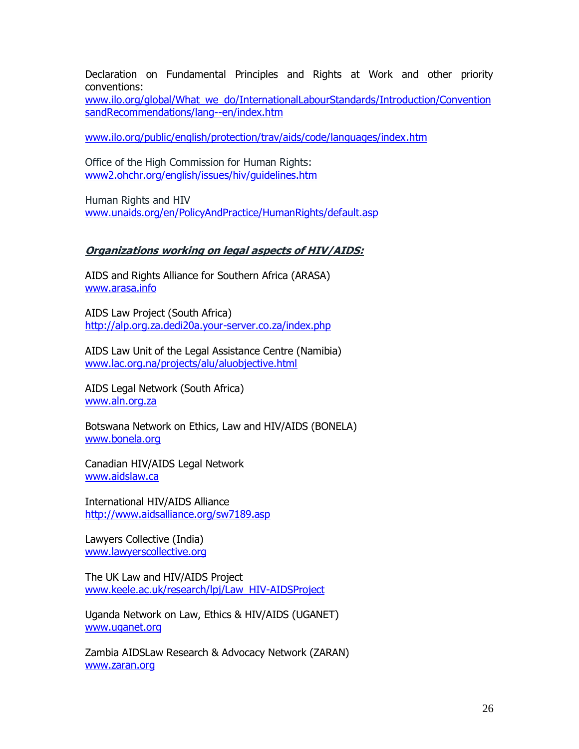Declaration on Fundamental Principles and Rights at Work and other priority conventions:

[www.ilo.org/global/What\\_we\\_do/InternationalLabourStandards/Introduction/Convention](http://www.ilo.org/global/What_we_do/InternationalLabourStandards/Introduction/ConventionsandRecommendations/lang--en/index.htm) [sandRecommendations/lang--en/index.htm](http://www.ilo.org/global/What_we_do/InternationalLabourStandards/Introduction/ConventionsandRecommendations/lang--en/index.htm)

[www.ilo.org/public/english/protection/trav/aids/code/languages/index.htm](http://www.ilo.org/public/english/protection/trav/aids/code/languages/index.htm)

Office of the High Commission for Human Rights: [www2.ohchr.org/english/issues/hiv/guidelines.htm](http://www2.ohchr.org/english/issues/hiv/guidelines.htm)

Human Rights and HIV [www.unaids.org/en/PolicyAndPractice/HumanRights/default.asp](http://www.unaids.org/en/PolicyAndPractice/HumanRights/default.asp)

#### **Organizations working on legal aspects of HIV/AIDS:**

AIDS and Rights Alliance for Southern Africa (ARASA) [www.arasa.info](http://www.arasa.info/)

AIDS Law Project (South Africa) <http://alp.org.za.dedi20a.your-server.co.za/index.php>

AIDS Law Unit of the Legal Assistance Centre (Namibia) [www.lac.org.na/projects/alu/aluobjective.html](http://www.lac.org.na/projects/alu/aluobjective.html)

AIDS Legal Network (South Africa) [www.aln.org.za](http://www.aln.org.za/)

Botswana Network on Ethics, Law and HIV/AIDS (BONELA) [www.bonela.org](http://www.bonela.org/)

Canadian HIV/AIDS Legal Network [www.aidslaw.ca](http://www.aidslaw.ca/)

International HIV/AIDS Alliance <http://www.aidsalliance.org/sw7189.asp>

Lawyers Collective (India) [www.lawyerscollective.org](http://www.lawyerscollective.org/)

The UK Law and HIV/AIDS Project [www.keele.ac.uk/research/lpj/Law\\_HIV-AIDSProject](http://www.keele.ac.uk/research/lpj/Law_HIV-AIDSProject)

Uganda Network on Law, Ethics & HIV/AIDS (UGANET) [www.uganet.org](http://www.uganet.org/)

Zambia AIDSLaw Research & Advocacy Network (ZARAN) [www.zaran.org](http://www.zaran.org/)